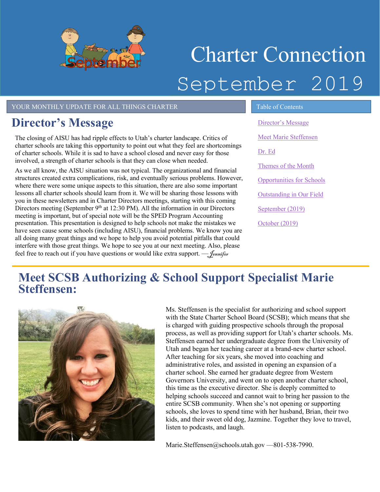

# Charter Connection September 2019

#### YOUR MONTHLY UPDATE FOR ALL THINGS CHARTER TABLE Of Contents

## <span id="page-0-0"></span>**Director's Message**

The closing of AISU has had ripple effects to Utah's charter landscape. Critics of charter schools are taking this opportunity to point out what they feel are shortcomings of charter schools. While it is sad to have a school closed and never easy for those involved, a strength of charter schools is that they can close when needed.

As we all know, the AISU situation was not typical. The organizational and financial structures created extra complications, risk, and eventually serious problems. However, where there were some unique aspects to this situation, there are also some important lessons all charter schools should learn from it. We will be sharing those lessons with you in these newsletters and in Charter Directors meetings, starting with this coming Directors meeting (September  $9<sup>th</sup>$  at 12:30 PM). All the information in our Directors meeting is important, but of special note will be the SPED Program Accounting presentation. This presentation is designed to help schools not make the mistakes we have seen cause some schools (including AISU), financial problems. We know you are all doing many great things and we hope to help you avoid potential pitfalls that could interfere with those great things. We hope to see you at our next meeting. Also, please feel free to reach out if you have questions or would like extra support.  $-\int_{\text{ennifer}}$ 

[Director's Message](#page-0-0) [Meet Marie Steffensen](#page-0-1) [Dr. Ed](#page-1-0) [Themes of the Month](#page-1-1) [Opportunities for Schools](#page-2-0)  [Outstanding in Our Field](#page-2-1) [September](#page-3-0) (2019) [October](#page-3-1) (2019[\)](#page-2-2)

## <span id="page-0-1"></span>**Meet SCSB Authorizing & School Support Specialist Marie Steffensen:**



Ms. Steffensen is the specialist for authorizing and school support with the State Charter School Board (SCSB); which means that she is charged with guiding prospective schools through the proposal process, as well as providing support for Utah's charter schools. Ms. Steffensen earned her undergraduate degree from the University of Utah and began her teaching career at a brand-new charter school. After teaching for six years, she moved into coaching and administrative roles, and assisted in opening an expansion of a charter school. She earned her graduate degree from Western Governors University, and went on to open another charter school, this time as the executive director. She is deeply committed to helping schools succeed and cannot wait to bring her passion to the entire SCSB community. When she's not opening or supporting schools, she loves to spend time with her husband, Brian, their two kids, and their sweet old dog, Jazmine. Together they love to travel, listen to podcasts, and laugh.

Marie.Steffensen@schools.utah.gov -- 801-538-7990.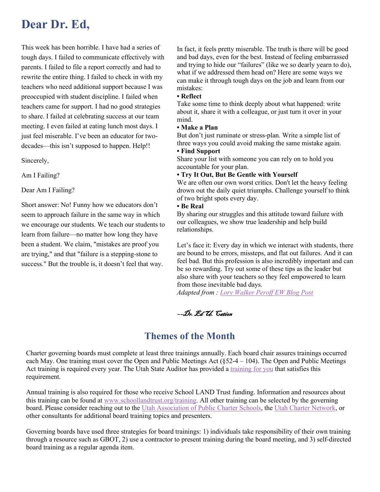## <span id="page-1-0"></span>**Dear Dr. Ed,**

This week has been horrible. I have had a series of tough days. I failed to communicate effectively with parents. I failed to file a report correctly and had to rewrite the entire thing. I failed to check in with my teachers who need additional support because I was preoccupied with student discipline. I failed when teachers came for support. I had no good strategies to share. I failed at celebrating success at our team meeting. I even failed at eating lunch most days. I just feel miserable. I've been an educator for twodecades––this isn't supposed to happen. Help!!

Sincerely,

Am I Failing?

Dear Am I Failing?

Short answer: No! Funny how we educators don't seem to approach failure in the same way in which we encourage our students. We teach our students to learn from failure––no matter how long they have been a student. We claim, "mistakes are proof you are trying," and that "failure is a stepping-stone to success." But the trouble is, it doesn't feel that way.

In fact, it feels pretty miserable. The truth is there will be good and bad days, even for the best. Instead of feeling embarrassed and trying to hide our "failures" (like we so dearly yearn to do), what if we addressed them head on? Here are some ways we can make it through tough days on the job and learn from our mistakes:

#### **• Reflect**

Take some time to think deeply about what happened: write about it, share it with a colleague, or just turn it over in your mind.

#### **• Make a Plan**

But don't just ruminate or stress-plan. Write a simple list of three ways you could avoid making the same mistake again.

#### **• Find Support**

Share your list with someone you can rely on to hold you accountable for your plan.

#### **• Try It Out, But Be Gentle with Yourself**

We are often our own worst critics. Don't let the heavy feeling drown out the daily quiet triumphs. Challenge yourself to think of two bright spots every day.

#### **• Be Real**

By sharing our struggles and this attitude toward failure with our colleagues, we show true leadership and help build relationships.

Let's face it: Every day in which we interact with students, there are bound to be errors, missteps, and flat out failures. And it can feel bad. But this profession is also incredibly important and can be so rewarding. Try out some of these tips as the leader but also share with your teachers so they feel empowered to learn from those inevitable bad days.

*Adapted from : [Lory Walker Peroff EW Blog Post](https://www.edweek.org/tm/articles/2019/04/23/failure-is-a-part-of-teaching-heres.html?cmp=eml-enl-tu-news2-rm&M=58814314&U=2650737&UUID=a822624efc3f9e68efc5ad50bc489a44)*

––Dr. Ed U. Cation

### **Themes of the Month**

<span id="page-1-1"></span>Charter governing boards must complete at least three trainings annually. Each board chair assures trainings occurred each May. One training must cover the Open and Public Meetings Act (§52-4 – 104). The Open and Public Meetings Act training is required every year. The Utah State Auditor has provided a [training for you](https://training.auditor.utah.gov/courses/open-and-public-meetings-act-2019) that satisfies this requirement.

Annual training is also required for those who receive School LAND Trust funding. Information and resources about this training can be found at www.schoollandtrust.org/training. All other training can be selected by the governing board. Please consider reaching out to the [Utah Association of Public Charter Schools,](https://www.utahcharters.org/) the [Utah Charter Network,](https://utcharternetwork.com/) or other consultants for additional board training topics and presenters.

Governing boards have used three strategies for board trainings: 1) individuals take responsibility of their own training through a resource such as GBOT, 2) use a contractor to present training during the board meeting, and 3) self-directed board training as a regular agenda item.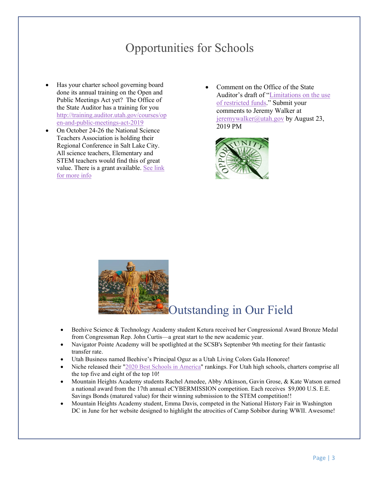## Opportunities for Schools

- <span id="page-2-0"></span>• Has your charter school governing board done its annual training on the Open and Public Meetings Act yet? The Office of the State Auditor has a training for you [http://training.auditor.utah.gov/courses/op](http://training.auditor.utah.gov/courses/open-and-public-meetings-act-2019) [en-and-public-meetings-act-2019](http://training.auditor.utah.gov/courses/open-and-public-meetings-act-2019)
- On October 24-26 the National Science Teachers Association is holding their Regional Conference in Salt Lake City. All science teachers, Elementary and STEM teachers would find this of great value. There is a grant available. [See link](https://twitter.com/UtahSCSB/status/1108820864244555776)  [for more info](https://twitter.com/UtahSCSB/status/1108820864244555776)
- Comment on the Office of the State Auditor's draft of "Limitations on the use of restricted funds." Submit your comments to Jeremy Walker at [jeremywalker@utah.gov](mailto:jeremywalker@utah.gov) by August 23, 2019 PM



<span id="page-2-1"></span>

## Outstanding in Our Field

- Beehive Science & Technology Academy student Ketura received her Congressional Award Bronze Medal from Congressman Rep. John Curtis––a great start to the new academic year.
- Navigator Pointe Academy will be spotlighted at the SCSB's September 9th meeting for their fantastic transfer rate.
- Utah Business named Beehive's Principal Oguz as a Utah Living Colors Gala Honoree!
- Niche released their ["2020 Best Schools in America"](https://t.co/wlsumrSlej?amp=1) rankings. For Utah high schools, charters comprise all the top five and eight of the top 10!
- Mountain Heights Academy students Rachel Amedee, Abby Atkinson, Gavin Grose, & Kate Watson earned a national award from the 17th annual eCYBERMISSION competition. Each receives \$9,000 U.S. E.E. Savings Bonds (matured value) for their winning submission to the STEM competition!!
- <span id="page-2-2"></span>• Mountain Heights Academy student, Emma Davis, competed in the National History Fair in Washington DC in June for her website designed to highlight the atrocities of Camp Sobibor during WWII. Awesome!